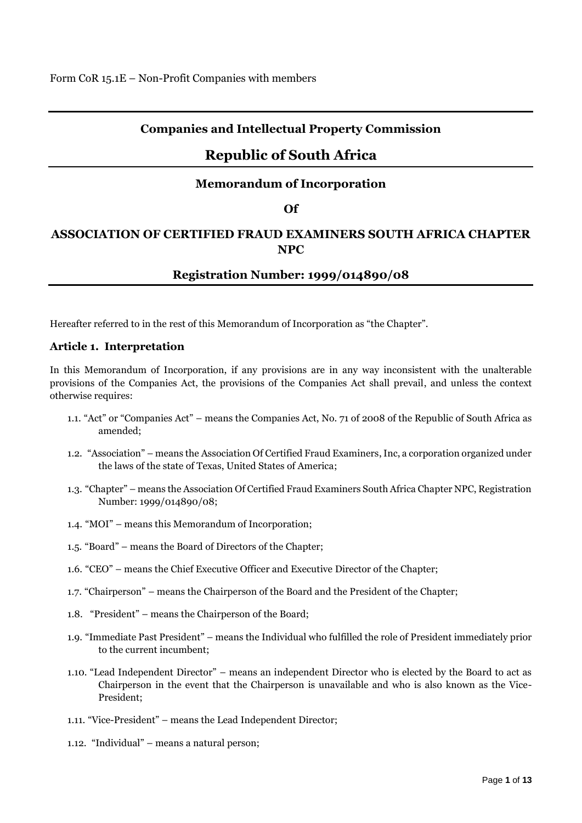## **Companies and Intellectual Property Commission**

# **Republic of South Africa**

### **Memorandum of Incorporation**

### **Of**

# **ASSOCIATION OF CERTIFIED FRAUD EXAMINERS SOUTH AFRICA CHAPTER NPC**

### **Registration Number: 1999/014890/08**

Hereafter referred to in the rest of this Memorandum of Incorporation as "the Chapter".

### **Article 1. Interpretation**

In this Memorandum of Incorporation, if any provisions are in any way inconsistent with the unalterable provisions of the Companies Act, the provisions of the Companies Act shall prevail, and unless the context otherwise requires:

- 1.1. "Act" or "Companies Act" means the Companies Act, No. 71 of 2008 of the Republic of South Africa as amended;
- 1.2. "Association" means the Association Of Certified Fraud Examiners, Inc, a corporation organized under the laws of the state of Texas, United States of America;
- 1.3. "Chapter" means the Association Of Certified Fraud Examiners South Africa Chapter NPC, Registration Number: 1999/014890/08;
- 1.4. "MOI" means this Memorandum of Incorporation;
- 1.5. "Board" means the Board of Directors of the Chapter;
- 1.6. "CEO" means the Chief Executive Officer and Executive Director of the Chapter;
- 1.7. "Chairperson" means the Chairperson of the Board and the President of the Chapter;
- 1.8. "President" means the Chairperson of the Board;
- 1.9. "Immediate Past President" means the Individual who fulfilled the role of President immediately prior to the current incumbent;
- 1.10. "Lead Independent Director" means an independent Director who is elected by the Board to act as Chairperson in the event that the Chairperson is unavailable and who is also known as the Vice-President;
- 1.11. "Vice-President" means the Lead Independent Director;
- 1.12. "Individual" means a natural person;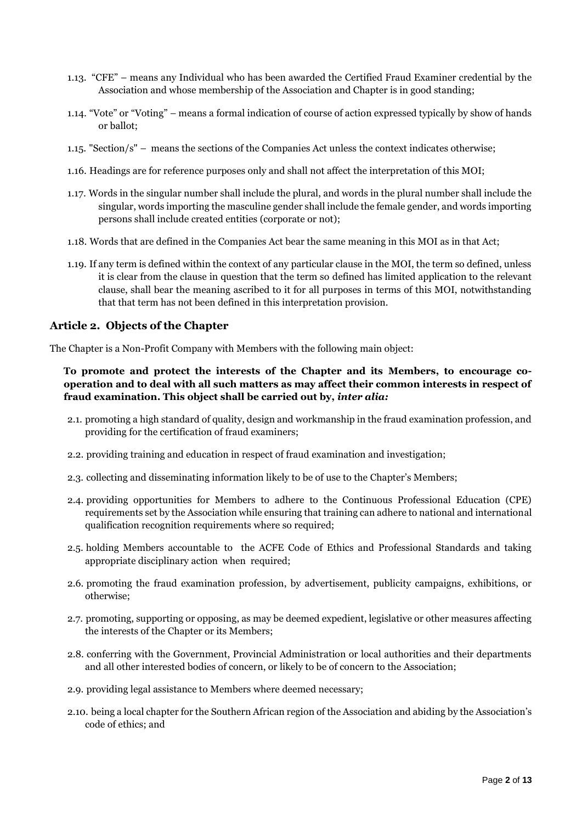- 1.13. "CFE" means any Individual who has been awarded the Certified Fraud Examiner credential by the Association and whose membership of the Association and Chapter is in good standing;
- 1.14. "Vote" or "Voting" means a formal indication of course of action expressed typically by show of hands or ballot;
- 1.15. "Section/s" means the sections of the Companies Act unless the context indicates otherwise;
- 1.16. Headings are for reference purposes only and shall not affect the interpretation of this MOI;
- 1.17. Words in the singular number shall include the plural, and words in the plural number shall include the singular, words importing the masculine gender shall include the female gender, and words importing persons shall include created entities (corporate or not);
- 1.18. Words that are defined in the Companies Act bear the same meaning in this MOI as in that Act;
- 1.19. If any term is defined within the context of any particular clause in the MOI, the term so defined, unless it is clear from the clause in question that the term so defined has limited application to the relevant clause, shall bear the meaning ascribed to it for all purposes in terms of this MOI, notwithstanding that that term has not been defined in this interpretation provision.

### **Article 2. Objects of the Chapter**

The Chapter is a Non-Profit Company with Members with the following main object:

### **To promote and protect the interests of the Chapter and its Members, to encourage cooperation and to deal with all such matters as may affect their common interests in respect of fraud examination. This object shall be carried out by,** *inter alia:*

- 2.1. promoting a high standard of quality, design and workmanship in the fraud examination profession, and providing for the certification of fraud examiners;
- 2.2. providing training and education in respect of fraud examination and investigation;
- 2.3. collecting and disseminating information likely to be of use to the Chapter's Members;
- 2.4. providing opportunities for Members to adhere to the Continuous Professional Education (CPE) requirements set by the Association while ensuring that training can adhere to national and international qualification recognition requirements where so required;
- 2.5. holding Members accountable to the ACFE Code of Ethics and Professional Standards and taking appropriate disciplinary action when required;
- 2.6. promoting the fraud examination profession, by advertisement, publicity campaigns, exhibitions, or otherwise;
- 2.7. promoting, supporting or opposing, as may be deemed expedient, legislative or other measures affecting the interests of the Chapter or its Members;
- 2.8. conferring with the Government, Provincial Administration or local authorities and their departments and all other interested bodies of concern, or likely to be of concern to the Association;
- 2.9. providing legal assistance to Members where deemed necessary;
- 2.10. being a local chapter for the Southern African region of the Association and abiding by the Association's code of ethics; and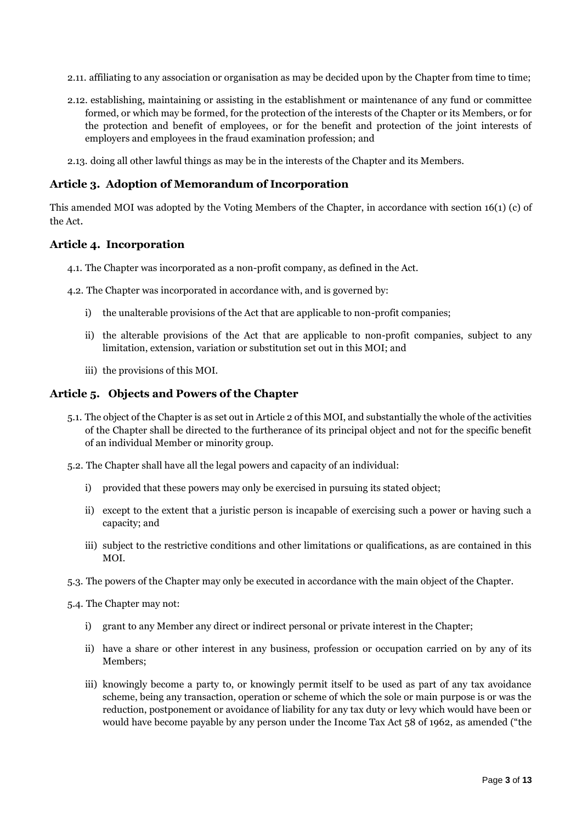- 2.11. affiliating to any association or organisation as may be decided upon by the Chapter from time to time;
- 2.12. establishing, maintaining or assisting in the establishment or maintenance of any fund or committee formed, or which may be formed, for the protection of the interests of the Chapter or its Members, or for the protection and benefit of employees, or for the benefit and protection of the joint interests of employers and employees in the fraud examination profession; and
- 2.13. doing all other lawful things as may be in the interests of the Chapter and its Members.

### **Article 3. Adoption of Memorandum of Incorporation**

This amended MOI was adopted by the Voting Members of the Chapter, in accordance with section 16(1) (c) of the Act.

### **Article 4. Incorporation**

- 4.1. The Chapter was incorporated as a non-profit company, as defined in the Act.
- 4.2. The Chapter was incorporated in accordance with, and is governed by:
	- i) the unalterable provisions of the Act that are applicable to non-profit companies;
	- ii) the alterable provisions of the Act that are applicable to non-profit companies, subject to any limitation, extension, variation or substitution set out in this MOI; and
	- iii) the provisions of this MOI.

#### **Article 5. Objects and Powers of the Chapter**

- 5.1. The object of the Chapter is as set out in Article 2 of this MOI, and substantially the whole of the activities of the Chapter shall be directed to the furtherance of its principal object and not for the specific benefit of an individual Member or minority group.
- 5.2. The Chapter shall have all the legal powers and capacity of an individual:
	- i) provided that these powers may only be exercised in pursuing its stated object;
	- ii) except to the extent that a juristic person is incapable of exercising such a power or having such a capacity; and
	- iii) subject to the restrictive conditions and other limitations or qualifications, as are contained in this MOI.
- 5.3. The powers of the Chapter may only be executed in accordance with the main object of the Chapter.
- 5.4. The Chapter may not:
	- i) grant to any Member any direct or indirect personal or private interest in the Chapter;
	- ii) have a share or other interest in any business, profession or occupation carried on by any of its Members;
	- iii) knowingly become a party to, or knowingly permit itself to be used as part of any tax avoidance scheme, being any transaction, operation or scheme of which the sole or main purpose is or was the reduction, postponement or avoidance of liability for any tax duty or levy which would have been or would have become payable by any person under the Income Tax Act 58 of 1962, as amended ("the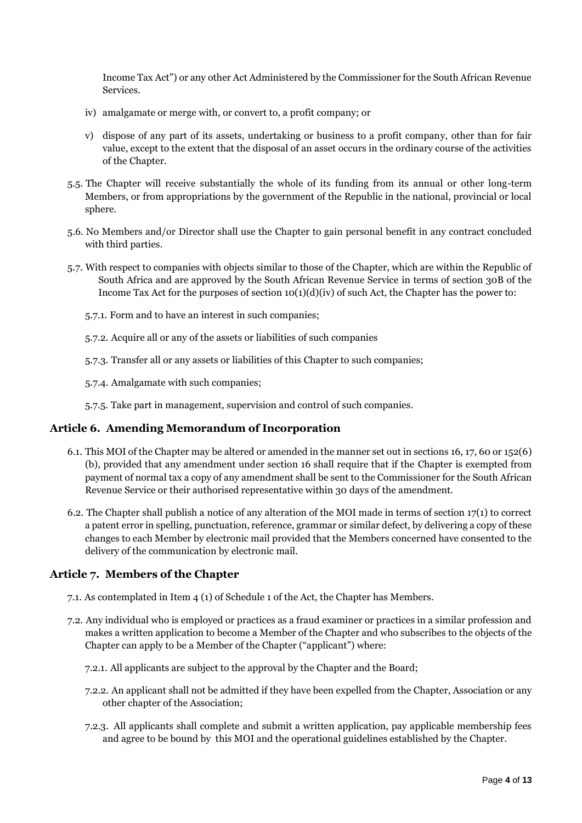Income Tax Act") or any other Act Administered by the Commissioner for the South African Revenue Services.

- iv) amalgamate or merge with, or convert to, a profit company; or
- v) dispose of any part of its assets, undertaking or business to a profit company, other than for fair value, except to the extent that the disposal of an asset occurs in the ordinary course of the activities of the Chapter.
- 5.5. The Chapter will receive substantially the whole of its funding from its annual or other long-term Members, or from appropriations by the government of the Republic in the national, provincial or local sphere.
- 5.6. No Members and/or Director shall use the Chapter to gain personal benefit in any contract concluded with third parties.
- 5.7. With respect to companies with objects similar to those of the Chapter, which are within the Republic of South Africa and are approved by the South African Revenue Service in terms of section 30B of the Income Tax Act for the purposes of section  $10(1)(d)(iv)$  of such Act, the Chapter has the power to:
	- 5.7.1. Form and to have an interest in such companies;
	- 5.7.2. Acquire all or any of the assets or liabilities of such companies
	- 5.7.3. Transfer all or any assets or liabilities of this Chapter to such companies;
	- 5.7.4. Amalgamate with such companies;
	- 5.7.5. Take part in management, supervision and control of such companies.

### **Article 6. Amending Memorandum of Incorporation**

- 6.1. This MOI of the Chapter may be altered or amended in the manner set out in sections 16, 17, 60 or 152(6) (b), provided that any amendment under section 16 shall require that if the Chapter is exempted from payment of normal tax a copy of any amendment shall be sent to the Commissioner for the South African Revenue Service or their authorised representative within 30 days of the amendment.
- 6.2. The Chapter shall publish a notice of any alteration of the MOI made in terms of section 17(1) to correct a patent error in spelling, punctuation, reference, grammar or similar defect, by delivering a copy of these changes to each Member by electronic mail provided that the Members concerned have consented to the delivery of the communication by electronic mail.

### **Article 7. Members of the Chapter**

- 7.1. As contemplated in Item 4 (1) of Schedule 1 of the Act, the Chapter has Members.
- 7.2. Any individual who is employed or practices as a fraud examiner or practices in a similar profession and makes a written application to become a Member of the Chapter and who subscribes to the objects of the Chapter can apply to be a Member of the Chapter ("applicant") where:
	- 7.2.1. All applicants are subject to the approval by the Chapter and the Board;
	- 7.2.2. An applicant shall not be admitted if they have been expelled from the Chapter, Association or any other chapter of the Association;
	- 7.2.3. All applicants shall complete and submit a written application, pay applicable membership fees and agree to be bound by this MOI and the operational guidelines established by the Chapter.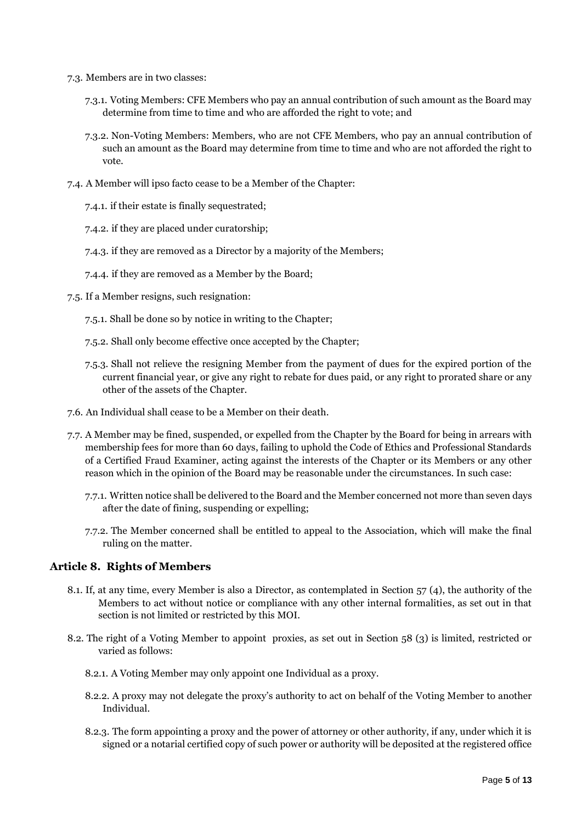- 7.3. Members are in two classes:
	- 7.3.1. Voting Members: CFE Members who pay an annual contribution of such amount as the Board may determine from time to time and who are afforded the right to vote; and
	- 7.3.2. Non-Voting Members: Members, who are not CFE Members, who pay an annual contribution of such an amount as the Board may determine from time to time and who are not afforded the right to vote.
- 7.4. A Member will ipso facto cease to be a Member of the Chapter:
	- 7.4.1. if their estate is finally sequestrated;
	- 7.4.2. if they are placed under curatorship;
	- 7.4.3. if they are removed as a Director by a majority of the Members;
	- 7.4.4. if they are removed as a Member by the Board;
- 7.5. If a Member resigns, such resignation:
	- 7.5.1. Shall be done so by notice in writing to the Chapter;
	- 7.5.2. Shall only become effective once accepted by the Chapter;
	- 7.5.3. Shall not relieve the resigning Member from the payment of dues for the expired portion of the current financial year, or give any right to rebate for dues paid, or any right to prorated share or any other of the assets of the Chapter.
- 7.6. An Individual shall cease to be a Member on their death.
- 7.7. A Member may be fined, suspended, or expelled from the Chapter by the Board for being in arrears with membership fees for more than 60 days, failing to uphold the Code of Ethics and Professional Standards of a Certified Fraud Examiner, acting against the interests of the Chapter or its Members or any other reason which in the opinion of the Board may be reasonable under the circumstances. In such case:
	- 7.7.1. Written notice shall be delivered to the Board and the Member concerned not more than seven days after the date of fining, suspending or expelling;
	- 7.7.2. The Member concerned shall be entitled to appeal to the Association, which will make the final ruling on the matter.

### **Article 8. Rights of Members**

- 8.1. If, at any time, every Member is also a Director, as contemplated in Section 57 (4), the authority of the Members to act without notice or compliance with any other internal formalities, as set out in that section is not limited or restricted by this MOI.
- 8.2. The right of a Voting Member to appoint proxies, as set out in Section 58 (3) is limited, restricted or varied as follows:
	- 8.2.1. A Voting Member may only appoint one Individual as a proxy.
	- 8.2.2. A proxy may not delegate the proxy's authority to act on behalf of the Voting Member to another Individual.
	- 8.2.3. The form appointing a proxy and the power of attorney or other authority, if any, under which it is signed or a notarial certified copy of such power or authority will be deposited at the registered office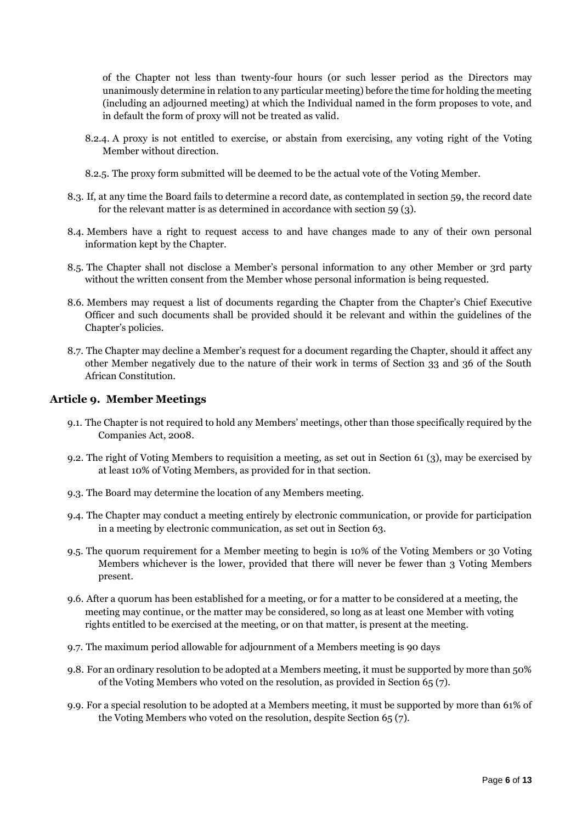of the Chapter not less than twenty-four hours (or such lesser period as the Directors may unanimously determine in relation to any particular meeting) before the time for holding the meeting (including an adjourned meeting) at which the Individual named in the form proposes to vote, and in default the form of proxy will not be treated as valid.

- 8.2.4. A proxy is not entitled to exercise, or abstain from exercising, any voting right of the Voting Member without direction.
- 8.2.5. The proxy form submitted will be deemed to be the actual vote of the Voting Member.
- 8.3. If, at any time the Board fails to determine a record date, as contemplated in section 59, the record date for the relevant matter is as determined in accordance with section 59 (3).
- 8.4. Members have a right to request access to and have changes made to any of their own personal information kept by the Chapter.
- 8.5. The Chapter shall not disclose a Member's personal information to any other Member or 3rd party without the written consent from the Member whose personal information is being requested.
- 8.6. Members may request a list of documents regarding the Chapter from the Chapter's Chief Executive Officer and such documents shall be provided should it be relevant and within the guidelines of the Chapter's policies.
- 8.7. The Chapter may decline a Member's request for a document regarding the Chapter, should it affect any other Member negatively due to the nature of their work in terms of Section 33 and 36 of the South African Constitution.

#### **Article 9. Member Meetings**

- 9.1. The Chapter is not required to hold any Members' meetings, other than those specifically required by the Companies Act, 2008.
- 9.2. The right of Voting Members to requisition a meeting, as set out in Section 61 (3), may be exercised by at least 10% of Voting Members, as provided for in that section.
- 9.3. The Board may determine the location of any Members meeting.
- 9.4. The Chapter may conduct a meeting entirely by electronic communication, or provide for participation in a meeting by electronic communication, as set out in Section 63.
- 9.5. The quorum requirement for a Member meeting to begin is 10% of the Voting Members or 30 Voting Members whichever is the lower, provided that there will never be fewer than 3 Voting Members present.
- 9.6. After a quorum has been established for a meeting, or for a matter to be considered at a meeting, the meeting may continue, or the matter may be considered, so long as at least one Member with voting rights entitled to be exercised at the meeting, or on that matter, is present at the meeting.
- 9.7. The maximum period allowable for adjournment of a Members meeting is 90 days
- 9.8. For an ordinary resolution to be adopted at a Members meeting, it must be supported by more than 50% of the Voting Members who voted on the resolution, as provided in Section 65 (7).
- 9.9. For a special resolution to be adopted at a Members meeting, it must be supported by more than 61% of the Voting Members who voted on the resolution, despite Section 65 (7).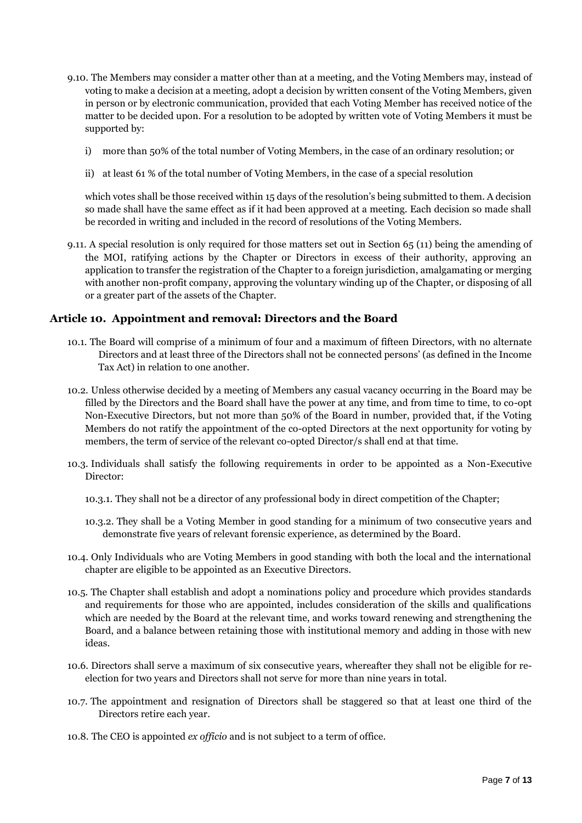- 9.10. The Members may consider a matter other than at a meeting, and the Voting Members may, instead of voting to make a decision at a meeting, adopt a decision by written consent of the Voting Members, given in person or by electronic communication, provided that each Voting Member has received notice of the matter to be decided upon. For a resolution to be adopted by written vote of Voting Members it must be supported by:
	- i) more than 50% of the total number of Voting Members, in the case of an ordinary resolution; or
	- ii) at least 61 % of the total number of Voting Members, in the case of a special resolution

which votes shall be those received within 15 days of the resolution's being submitted to them. A decision so made shall have the same effect as if it had been approved at a meeting. Each decision so made shall be recorded in writing and included in the record of resolutions of the Voting Members.

9.11. A special resolution is only required for those matters set out in Section 65 (11) being the amending of the MOI, ratifying actions by the Chapter or Directors in excess of their authority, approving an application to transfer the registration of the Chapter to a foreign jurisdiction, amalgamating or merging with another non-profit company, approving the voluntary winding up of the Chapter, or disposing of all or a greater part of the assets of the Chapter.

### **Article 10. Appointment and removal: Directors and the Board**

- 10.1. The Board will comprise of a minimum of four and a maximum of fifteen Directors, with no alternate Directors and at least three of the Directors shall not be connected persons' (as defined in the Income Tax Act) in relation to one another.
- 10.2. Unless otherwise decided by a meeting of Members any casual vacancy occurring in the Board may be filled by the Directors and the Board shall have the power at any time, and from time to time, to co-opt Non-Executive Directors, but not more than 50% of the Board in number, provided that, if the Voting Members do not ratify the appointment of the co-opted Directors at the next opportunity for voting by members, the term of service of the relevant co-opted Director/s shall end at that time.
- 10.3. Individuals shall satisfy the following requirements in order to be appointed as a Non-Executive Director:
	- 10.3.1. They shall not be a director of any professional body in direct competition of the Chapter;
	- 10.3.2. They shall be a Voting Member in good standing for a minimum of two consecutive years and demonstrate five years of relevant forensic experience, as determined by the Board.
- 10.4. Only Individuals who are Voting Members in good standing with both the local and the international chapter are eligible to be appointed as an Executive Directors.
- 10.5. The Chapter shall establish and adopt a nominations policy and procedure which provides standards and requirements for those who are appointed, includes consideration of the skills and qualifications which are needed by the Board at the relevant time, and works toward renewing and strengthening the Board, and a balance between retaining those with institutional memory and adding in those with new ideas.
- 10.6. Directors shall serve a maximum of six consecutive years, whereafter they shall not be eligible for reelection for two years and Directors shall not serve for more than nine years in total.
- 10.7. The appointment and resignation of Directors shall be staggered so that at least one third of the Directors retire each year.
- 10.8. The CEO is appointed *ex officio* and is not subject to a term of office.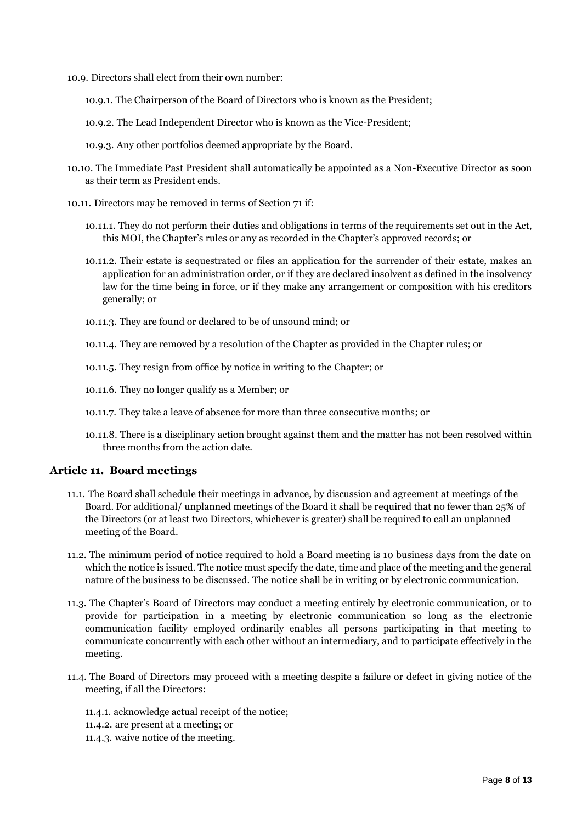10.9. Directors shall elect from their own number:

- 10.9.1. The Chairperson of the Board of Directors who is known as the President;
- 10.9.2. The Lead Independent Director who is known as the Vice-President;
- 10.9.3. Any other portfolios deemed appropriate by the Board.
- 10.10. The Immediate Past President shall automatically be appointed as a Non-Executive Director as soon as their term as President ends.
- 10.11. Directors may be removed in terms of Section 71 if:
	- 10.11.1. They do not perform their duties and obligations in terms of the requirements set out in the Act, this MOI, the Chapter's rules or any as recorded in the Chapter's approved records; or
	- 10.11.2. Their estate is sequestrated or files an application for the surrender of their estate, makes an application for an administration order, or if they are declared insolvent as defined in the insolvency law for the time being in force, or if they make any arrangement or composition with his creditors generally; or
	- 10.11.3. They are found or declared to be of unsound mind; or
	- 10.11.4. They are removed by a resolution of the Chapter as provided in the Chapter rules; or
	- 10.11.5. They resign from office by notice in writing to the Chapter; or
	- 10.11.6. They no longer qualify as a Member; or
	- 10.11.7. They take a leave of absence for more than three consecutive months; or
	- 10.11.8. There is a disciplinary action brought against them and the matter has not been resolved within three months from the action date.

### **Article 11. Board meetings**

- 11.1. The Board shall schedule their meetings in advance, by discussion and agreement at meetings of the Board. For additional/ unplanned meetings of the Board it shall be required that no fewer than 25% of the Directors (or at least two Directors, whichever is greater) shall be required to call an unplanned meeting of the Board.
- 11.2. The minimum period of notice required to hold a Board meeting is 10 business days from the date on which the notice is issued. The notice must specify the date, time and place of the meeting and the general nature of the business to be discussed. The notice shall be in writing or by electronic communication.
- 11.3. The Chapter's Board of Directors may conduct a meeting entirely by electronic communication, or to provide for participation in a meeting by electronic communication so long as the electronic communication facility employed ordinarily enables all persons participating in that meeting to communicate concurrently with each other without an intermediary, and to participate effectively in the meeting.
- 11.4. The Board of Directors may proceed with a meeting despite a failure or defect in giving notice of the meeting, if all the Directors:
	- 11.4.1. acknowledge actual receipt of the notice;
	- 11.4.2. are present at a meeting; or
	- 11.4.3. waive notice of the meeting.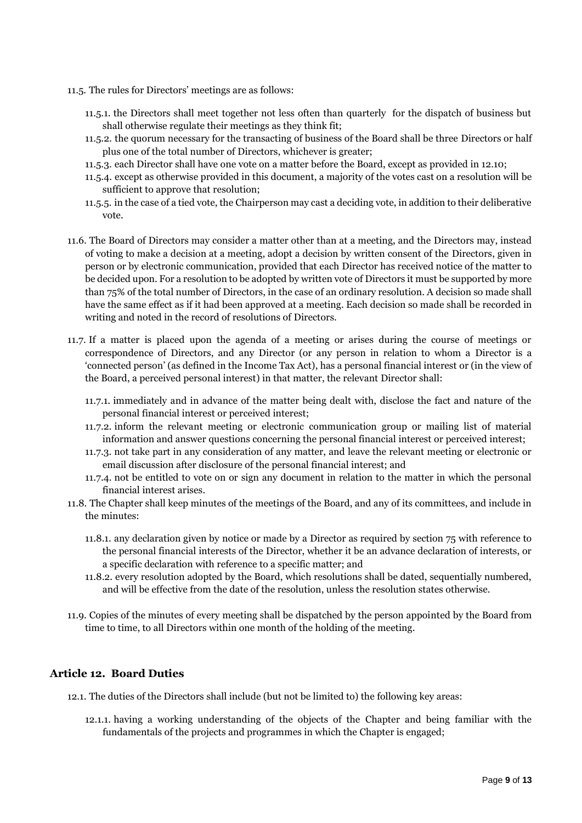- 11.5. The rules for Directors' meetings are as follows:
	- 11.5.1. the Directors shall meet together not less often than quarterly for the dispatch of business but shall otherwise regulate their meetings as they think fit;
	- 11.5.2. the quorum necessary for the transacting of business of the Board shall be three Directors or half plus one of the total number of Directors, whichever is greater;
	- 11.5.3. each Director shall have one vote on a matter before the Board, except as provided in 12.10;
	- 11.5.4. except as otherwise provided in this document, a majority of the votes cast on a resolution will be sufficient to approve that resolution;
	- 11.5.5. in the case of a tied vote, the Chairperson may cast a deciding vote, in addition to their deliberative vote.
- 11.6. The Board of Directors may consider a matter other than at a meeting, and the Directors may, instead of voting to make a decision at a meeting, adopt a decision by written consent of the Directors, given in person or by electronic communication, provided that each Director has received notice of the matter to be decided upon. For a resolution to be adopted by written vote of Directors it must be supported by more than 75% of the total number of Directors, in the case of an ordinary resolution. A decision so made shall have the same effect as if it had been approved at a meeting. Each decision so made shall be recorded in writing and noted in the record of resolutions of Directors.
- 11.7. If a matter is placed upon the agenda of a meeting or arises during the course of meetings or correspondence of Directors, and any Director (or any person in relation to whom a Director is a 'connected person' (as defined in the Income Tax Act), has a personal financial interest or (in the view of the Board, a perceived personal interest) in that matter, the relevant Director shall:
	- 11.7.1. immediately and in advance of the matter being dealt with, disclose the fact and nature of the personal financial interest or perceived interest;
	- 11.7.2. inform the relevant meeting or electronic communication group or mailing list of material information and answer questions concerning the personal financial interest or perceived interest;
	- 11.7.3. not take part in any consideration of any matter, and leave the relevant meeting or electronic or email discussion after disclosure of the personal financial interest; and
	- 11.7.4. not be entitled to vote on or sign any document in relation to the matter in which the personal financial interest arises.
- 11.8. The Chapter shall keep minutes of the meetings of the Board, and any of its committees, and include in the minutes:
	- 11.8.1. any declaration given by notice or made by a Director as required by section 75 with reference to the personal financial interests of the Director, whether it be an advance declaration of interests, or a specific declaration with reference to a specific matter; and
	- 11.8.2. every resolution adopted by the Board, which resolutions shall be dated, sequentially numbered, and will be effective from the date of the resolution, unless the resolution states otherwise.
- 11.9. Copies of the minutes of every meeting shall be dispatched by the person appointed by the Board from time to time, to all Directors within one month of the holding of the meeting.

### **Article 12. Board Duties**

- 12.1. The duties of the Directors shall include (but not be limited to) the following key areas:
	- 12.1.1. having a working understanding of the objects of the Chapter and being familiar with the fundamentals of the projects and programmes in which the Chapter is engaged;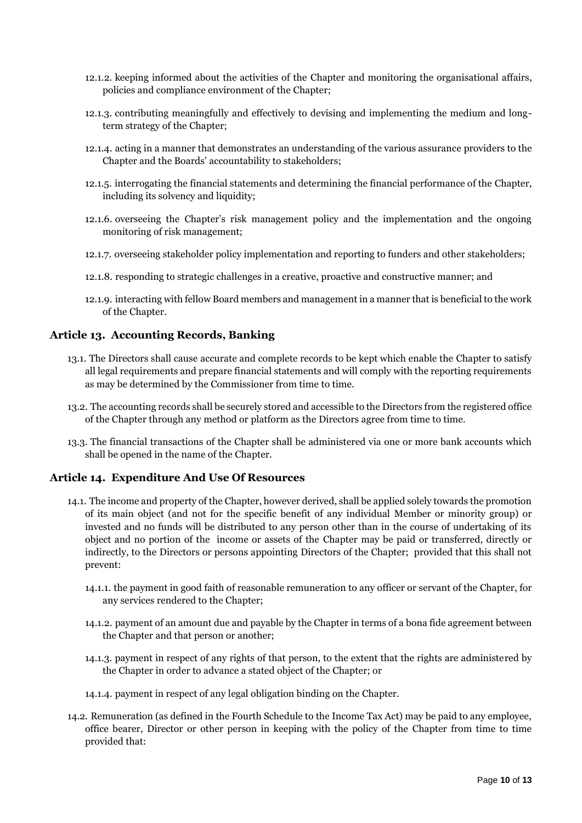- 12.1.2. keeping informed about the activities of the Chapter and monitoring the organisational affairs, policies and compliance environment of the Chapter;
- 12.1.3. contributing meaningfully and effectively to devising and implementing the medium and longterm strategy of the Chapter;
- 12.1.4. acting in a manner that demonstrates an understanding of the various assurance providers to the Chapter and the Boards' accountability to stakeholders;
- 12.1.5. interrogating the financial statements and determining the financial performance of the Chapter, including its solvency and liquidity;
- 12.1.6. overseeing the Chapter's risk management policy and the implementation and the ongoing monitoring of risk management;
- 12.1.7. overseeing stakeholder policy implementation and reporting to funders and other stakeholders;
- 12.1.8. responding to strategic challenges in a creative, proactive and constructive manner; and
- 12.1.9. interacting with fellow Board members and management in a manner that is beneficial to the work of the Chapter.

### **Article 13. Accounting Records, Banking**

- 13.1. The Directors shall cause accurate and complete records to be kept which enable the Chapter to satisfy all legal requirements and prepare financial statements and will comply with the reporting requirements as may be determined by the Commissioner from time to time.
- 13.2. The accounting records shall be securely stored and accessible to the Directors from the registered office of the Chapter through any method or platform as the Directors agree from time to time.
- 13.3. The financial transactions of the Chapter shall be administered via one or more bank accounts which shall be opened in the name of the Chapter.

### **Article 14. Expenditure And Use Of Resources**

- 14.1. The income and property of the Chapter, however derived, shall be applied solely towards the promotion of its main object (and not for the specific benefit of any individual Member or minority group) or invested and no funds will be distributed to any person other than in the course of undertaking of its object and no portion of the income or assets of the Chapter may be paid or transferred, directly or indirectly, to the Directors or persons appointing Directors of the Chapter; provided that this shall not prevent:
	- 14.1.1. the payment in good faith of reasonable remuneration to any officer or servant of the Chapter, for any services rendered to the Chapter;
	- 14.1.2. payment of an amount due and payable by the Chapter in terms of a bona fide agreement between the Chapter and that person or another;
	- 14.1.3. payment in respect of any rights of that person, to the extent that the rights are administered by the Chapter in order to advance a stated object of the Chapter; or
	- 14.1.4. payment in respect of any legal obligation binding on the Chapter.
- 14.2. Remuneration (as defined in the Fourth Schedule to the Income Tax Act) may be paid to any employee, office bearer, Director or other person in keeping with the policy of the Chapter from time to time provided that: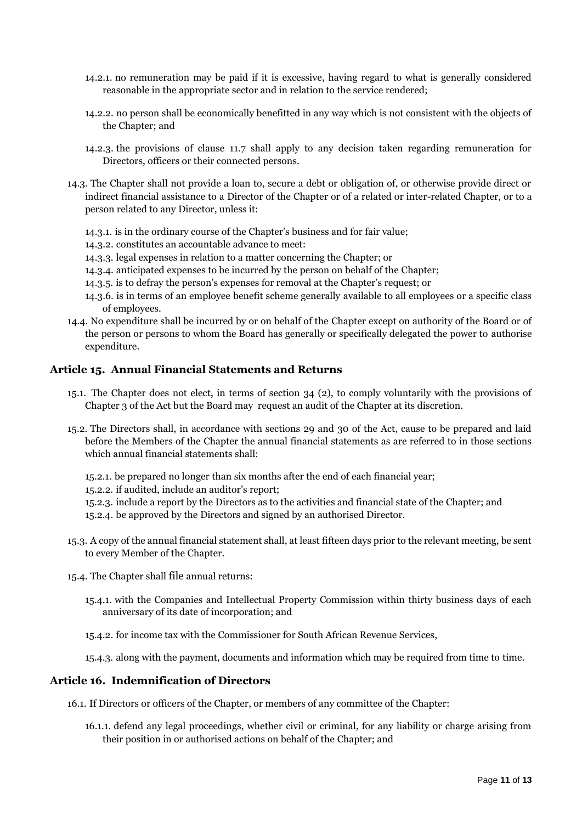- 14.2.1. no remuneration may be paid if it is excessive, having regard to what is generally considered reasonable in the appropriate sector and in relation to the service rendered;
- 14.2.2. no person shall be economically benefitted in any way which is not consistent with the objects of the Chapter; and
- 14.2.3. the provisions of clause 11.7 shall apply to any decision taken regarding remuneration for Directors, officers or their connected persons.
- 14.3. The Chapter shall not provide a loan to, secure a debt or obligation of, or otherwise provide direct or indirect financial assistance to a Director of the Chapter or of a related or inter-related Chapter, or to a person related to any Director, unless it:
	- 14.3.1. is in the ordinary course of the Chapter's business and for fair value;
	- 14.3.2. constitutes an accountable advance to meet:
	- 14.3.3. legal expenses in relation to a matter concerning the Chapter; or
	- 14.3.4. anticipated expenses to be incurred by the person on behalf of the Chapter;
	- 14.3.5. is to defray the person's expenses for removal at the Chapter's request; or
	- 14.3.6. is in terms of an employee benefit scheme generally available to all employees or a specific class of employees.
- 14.4. No expenditure shall be incurred by or on behalf of the Chapter except on authority of the Board or of the person or persons to whom the Board has generally or specifically delegated the power to authorise expenditure.

### **Article 15. Annual Financial Statements and Returns**

- 15.1. The Chapter does not elect, in terms of section 34 (2), to comply voluntarily with the provisions of Chapter 3 of the Act but the Board may request an audit of the Chapter at its discretion.
- 15.2. The Directors shall, in accordance with sections 29 and 30 of the Act, cause to be prepared and laid before the Members of the Chapter the annual financial statements as are referred to in those sections which annual financial statements shall:
	- 15.2.1. be prepared no longer than six months after the end of each financial year;
	- 15.2.2. if audited, include an auditor's report;
	- 15.2.3. include a report by the Directors as to the activities and financial state of the Chapter; and
	- 15.2.4. be approved by the Directors and signed by an authorised Director.
- 15.3. A copy of the annual financial statement shall, at least fifteen days prior to the relevant meeting, be sent to every Member of the Chapter.
- 15.4. The Chapter shall [file](javascript:void(0);) annual returns:
	- 15.4.1. with the Companies and Intellectual Property Commission within thirty business days of each anniversary of its date of incorporation; and

15.4.2. for income tax with the Commissioner for South African Revenue Services,

15.4.3. along with the payment, documents and information which may be required from time to time.

### **Article 16. Indemnification of Directors**

16.1. If Directors or officers of the Chapter, or members of any committee of the Chapter:

16.1.1. defend any legal proceedings, whether civil or criminal, for any liability or charge arising from their position in or authorised actions on behalf of the Chapter; and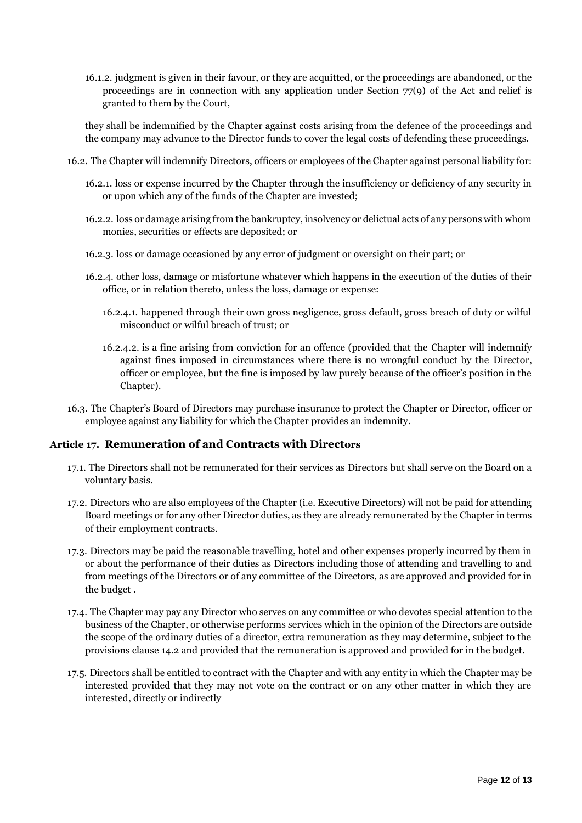16.1.2. judgment is given in their favour, or they are acquitted, or the proceedings are abandoned, or the proceedings are in connection with any application under Section 77(9) of the Act and relief is granted to them by the Court,

they shall be indemnified by the Chapter against costs arising from the defence of the proceedings and the company may advance to the Director funds to cover the legal costs of defending these proceedings.

- 16.2. The Chapter will indemnify Directors, officers or employees of the Chapter against personal liability for:
	- 16.2.1. loss or expense incurred by the Chapter through the insufficiency or deficiency of any security in or upon which any of the funds of the Chapter are invested;
	- 16.2.2. loss or damage arising from the bankruptcy, insolvency or delictual acts of any persons with whom monies, securities or effects are deposited; or
	- 16.2.3. loss or damage occasioned by any error of judgment or oversight on their part; or
	- 16.2.4. other loss, damage or misfortune whatever which happens in the execution of the duties of their office, or in relation thereto, unless the loss, damage or expense:
		- 16.2.4.1. happened through their own gross negligence, gross default, gross breach of duty or wilful misconduct or wilful breach of trust; or
		- 16.2.4.2. is a fine arising from conviction for an offence (provided that the Chapter will indemnify against fines imposed in circumstances where there is no wrongful conduct by the Director, officer or employee, but the fine is imposed by law purely because of the officer's position in the Chapter).
- 16.3. The Chapter's Board of Directors may purchase insurance to protect the Chapter or Director, officer or employee against any liability for which the Chapter provides an indemnity.

### **Article 17. Remuneration of and Contracts with Directors**

- 17.1. The Directors shall not be remunerated for their services as Directors but shall serve on the Board on a voluntary basis.
- 17.2. Directors who are also employees of the Chapter (i.e. Executive Directors) will not be paid for attending Board meetings or for any other Director duties, as they are already remunerated by the Chapter in terms of their employment contracts.
- 17.3. Directors may be paid the reasonable travelling, hotel and other expenses properly incurred by them in or about the performance of their duties as Directors including those of attending and travelling to and from meetings of the Directors or of any committee of the Directors, as are approved and provided for in the budget .
- 17.4. The Chapter may pay any Director who serves on any committee or who devotes special attention to the business of the Chapter, or otherwise performs services which in the opinion of the Directors are outside the scope of the ordinary duties of a director, extra remuneration as they may determine, subject to the provisions clause 14.2 and provided that the remuneration is approved and provided for in the budget.
- 17.5. Directors shall be entitled to contract with the Chapter and with any entity in which the Chapter may be interested provided that they may not vote on the contract or on any other matter in which they are interested, directly or indirectly